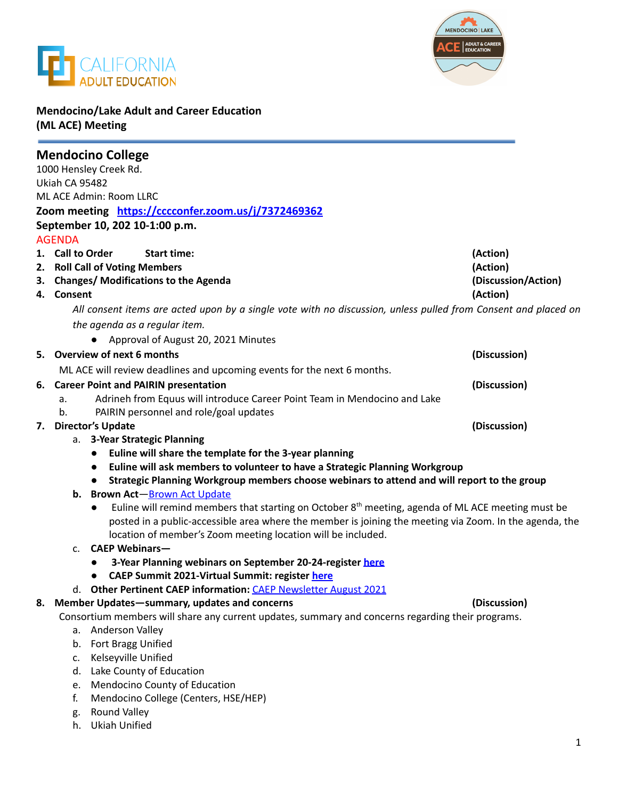



# **Mendocino/Lake Adult and Career Education (ML ACE) Meeting**

|                                                     |                                                                                                                | <b>Mendocino College</b>                                                                                                                                                                                                    |                     |
|-----------------------------------------------------|----------------------------------------------------------------------------------------------------------------|-----------------------------------------------------------------------------------------------------------------------------------------------------------------------------------------------------------------------------|---------------------|
| 1000 Hensley Creek Rd.                              |                                                                                                                |                                                                                                                                                                                                                             |                     |
| Ukiah CA 95482                                      |                                                                                                                |                                                                                                                                                                                                                             |                     |
| <b>ML ACE Admin: Room LLRC</b>                      |                                                                                                                |                                                                                                                                                                                                                             |                     |
| Zoom meeting https://cccconfer.zoom.us/j/7372469362 |                                                                                                                |                                                                                                                                                                                                                             |                     |
|                                                     |                                                                                                                | September 10, 202 10-1:00 p.m.                                                                                                                                                                                              |                     |
|                                                     | <b>AGENDA</b>                                                                                                  |                                                                                                                                                                                                                             |                     |
|                                                     | 1. Call to Order                                                                                               | <b>Start time:</b>                                                                                                                                                                                                          | (Action)            |
|                                                     | 2. Roll Call of Voting Members                                                                                 |                                                                                                                                                                                                                             | (Action)            |
|                                                     |                                                                                                                | 3. Changes/ Modifications to the Agenda                                                                                                                                                                                     | (Discussion/Action) |
|                                                     | 4. Consent                                                                                                     |                                                                                                                                                                                                                             | (Action)            |
|                                                     | All consent items are acted upon by a single vote with no discussion, unless pulled from Consent and placed on |                                                                                                                                                                                                                             |                     |
|                                                     | the agenda as a regular item.                                                                                  |                                                                                                                                                                                                                             |                     |
|                                                     |                                                                                                                | • Approval of August 20, 2021 Minutes                                                                                                                                                                                       |                     |
|                                                     | 5. Overview of next 6 months                                                                                   |                                                                                                                                                                                                                             | (Discussion)        |
|                                                     |                                                                                                                | ML ACE will review deadlines and upcoming events for the next 6 months.                                                                                                                                                     |                     |
| <b>Career Point and PAIRIN presentation</b><br>6.   |                                                                                                                |                                                                                                                                                                                                                             | (Discussion)        |
|                                                     | a.                                                                                                             | Adrineh from Equus will introduce Career Point Team in Mendocino and Lake                                                                                                                                                   |                     |
|                                                     | b.                                                                                                             | PAIRIN personnel and role/goal updates                                                                                                                                                                                      |                     |
| 7.                                                  | <b>Director's Update</b>                                                                                       |                                                                                                                                                                                                                             | (Discussion)        |
| a. 3-Year Strategic Planning                        |                                                                                                                |                                                                                                                                                                                                                             |                     |
|                                                     |                                                                                                                | Euline will share the template for the 3-year planning<br>$\bullet$                                                                                                                                                         |                     |
|                                                     |                                                                                                                | Euline will ask members to volunteer to have a Strategic Planning Workgroup<br>$\bullet$                                                                                                                                    |                     |
|                                                     |                                                                                                                | Strategic Planning Workgroup members choose webinars to attend and will report to the group<br>$\bullet$                                                                                                                    |                     |
|                                                     | b.                                                                                                             | <b>Brown Act-Brown Act Update</b>                                                                                                                                                                                           |                     |
|                                                     |                                                                                                                | Euline will remind members that starting on October $8th$ meeting, agenda of ML ACE meeting must be<br>$\bullet$<br>posted in a public-accessible area where the member is joining the meeting via Zoom. In the agenda, the |                     |
|                                                     |                                                                                                                | location of member's Zoom meeting location will be included.                                                                                                                                                                |                     |
|                                                     | $C_{\star}$                                                                                                    | <b>CAEP Webinars-</b>                                                                                                                                                                                                       |                     |
|                                                     |                                                                                                                | 3-Year Planning webinars on September 20-24-register here<br>$\bullet$                                                                                                                                                      |                     |
|                                                     |                                                                                                                | CAEP Summit 2021-Virtual Summit: register here<br>$\bullet$                                                                                                                                                                 |                     |
|                                                     |                                                                                                                | d. Other Pertinent CAEP information: CAEP Newsletter August 2021                                                                                                                                                            |                     |
| 8.                                                  |                                                                                                                | Member Updates-summary, updates and concerns<br>(Discussion)                                                                                                                                                                |                     |
|                                                     | Consortium members will share any current updates, summary and concerns regarding their programs.              |                                                                                                                                                                                                                             |                     |
|                                                     |                                                                                                                | a. Anderson Valley                                                                                                                                                                                                          |                     |
|                                                     |                                                                                                                | b. Fort Bragg Unified                                                                                                                                                                                                       |                     |
|                                                     | c.                                                                                                             | Kelseyville Unified                                                                                                                                                                                                         |                     |
|                                                     | d.                                                                                                             | Lake County of Education                                                                                                                                                                                                    |                     |
|                                                     | e.                                                                                                             | Mendocino County of Education                                                                                                                                                                                               |                     |
|                                                     | f.                                                                                                             | Mendocino College (Centers, HSE/HEP)                                                                                                                                                                                        |                     |
|                                                     | g.                                                                                                             | Round Valley<br><b>Ukiah Unified</b>                                                                                                                                                                                        |                     |
|                                                     | h.                                                                                                             |                                                                                                                                                                                                                             |                     |